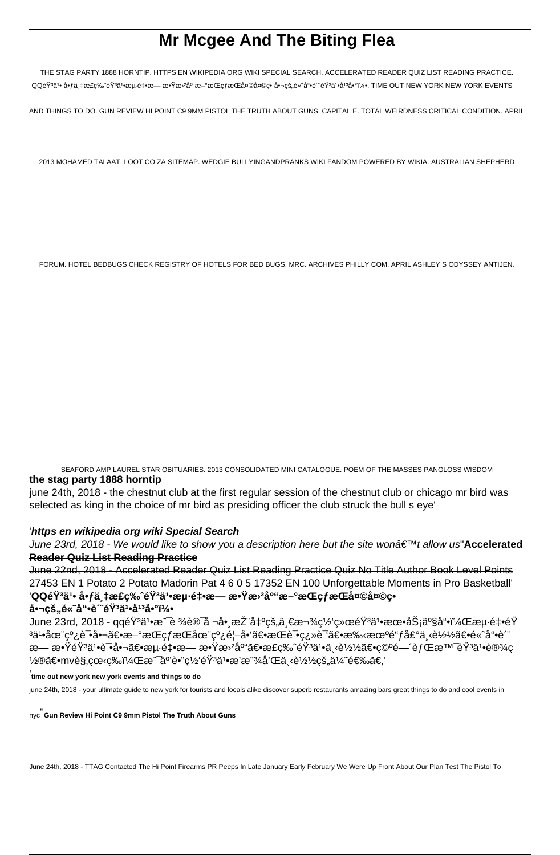# **Mr Mcgee And The Biting Flea**

THE STAG PARTY 1888 HORNTIP. HTTPS EN WIKIPEDIA ORG WIKI SPECIAL SEARCH. ACCELERATED READER QUIZ LIST READING PRACTICE. QQ韪ã'• 啃万æ£ç‰ˆéŸªã'•海釕æ— æ•Ÿæ›ªåº"æ–°æŒçƒæŒå¤©å¤©ç• 啬çš"é«~å"•è‴韪ä'•庪j4°ï¼•. TIME OUT NEW YORK NEW YORK EVENTS

AND THINGS TO DO. GUN REVIEW HI POINT C9 9MM PISTOL THE TRUTH ABOUT GUNS. CAPITAL E. TOTAL WEIRDNESS CRITICAL CONDITION. APRIL

2013 MOHAMED TALAAT. LOOT CO ZA SITEMAP. WEDGIE BULLYINGANDPRANKS WIKI FANDOM POWERED BY WIKIA. AUSTRALIAN SHEPHERD

FORUM. HOTEL BEDBUGS CHECK REGISTRY OF HOTELS FOR BED BUGS. MRC. ARCHIVES PHILLY COM. APRIL ASHLEY S ODYSSEY ANTIJEN.

SEAFORD AMP LAUREL STAR OBITUARIES. 2013 CONSOLIDATED MINI CATALOGUE. POEM OF THE MASSES PANGLOSS WISDOM **the stag party 1888 horntip**

june 24th, 2018 - the chestnut club at the first regular session of the chestnut club or chicago mr bird was selected as king in the choice of mr bird as presiding officer the club struck the bull s eye'

## '**https en wikipedia org wiki Special Search**

June 23rd, 2018 - We would like to show you a description here but the site won't allow us'**A<del>ccelerated</del> Reader Quiz List Reading Practice**

June 22nd, 2018 - Accelerated Reader Quiz List Reading Practice Quiz No Title Author Book Level Points 27453 EN 1 Potato 2 Potato Madorin Pat 4 6 0 5 17352 EN 100 Unforgettable Moments in Pro Basketball' '**QQ音乕 啃万æ£ç‰ˆéŸ³ä¹•æµ·é‡•æ— æ•Ÿæ›²åº"æ–°æŒçƒæŒå¤©å¤©ç•** 啬çš"é«~å"•è*"*`éŸ<sup>3</sup>ä1•å<sup>13</sup>啰5

June 23rd, 2018 - qq韪ä1∙æ¯è ¾è®¯å ¬å∙¸æŽ¨å‡ºçš"一款网络韪ä1∙æœ∙务产å"∙,æµ⋅é‡∙éŸ ిä1∙在线试啬〕æ—°æŒçƒæŒåœ¨çº¿é¦–å•'〕æŒè¯•翻译〕手机é"ƒå£°ä¸‹è½½ã€•é«~å"•è´ æ— æ•ŸéŸªä1•试啬〕海釕æ— æ•Ÿæ›ºåº"〕æ£ç‰ˆéŸªä1•下载〕空间背景韪ä1•设ç ½®ã€•mvè§,看ç‰ï¼Œæ~互è•"网韪ä1•æ'æ"¾å'Œä¸‹è½½çš"ä¼~选ã€,'

' **time out new york new york events and things to do**

june 24th, 2018 - your ultimate guide to new york for tourists and locals alike discover superb restaurants amazing bars great things to do and cool events in

nyc''**Gun Review Hi Point C9 9mm Pistol The Truth About Guns**

June 24th, 2018 - TTAG Contacted The Hi Point Firearms PR Peeps In Late January Early February We Were Up Front About Our Plan Test The Pistol To